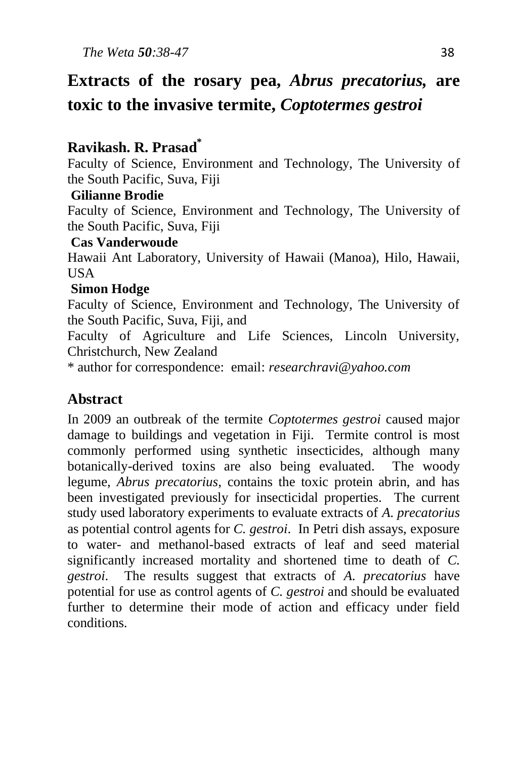# **Extracts of the rosary pea,** *Abrus precatorius,* **are toxic to the invasive termite,** *Coptotermes gestroi*

# **Ravikash. R. Prasad\***

Faculty of Science, Environment and Technology, The University of the South Pacific, Suva, Fiji

# **Gilianne Brodie**

Faculty of Science, Environment and Technology, The University of the South Pacific, Suva, Fiji

#### **Cas Vanderwoude**

Hawaii Ant Laboratory, University of Hawaii (Manoa), Hilo, Hawaii, **USA** 

## **Simon Hodge**

Faculty of Science, Environment and Technology, The University of the South Pacific, Suva, Fiji, and

Faculty of Agriculture and Life Sciences, Lincoln University, Christchurch, New Zealand

\* author for correspondence: email: *researchravi@yahoo.com*

# **Abstract**

In 2009 an outbreak of the termite *Coptotermes gestroi* caused major damage to buildings and vegetation in Fiji. Termite control is most commonly performed using synthetic insecticides, although many botanically-derived toxins are also being evaluated. The woody legume, *Abrus precatorius*, contains the toxic protein abrin, and has been investigated previously for insecticidal properties. The current study used laboratory experiments to evaluate extracts of *A. precatorius*  as potential control agents for *C. gestroi*. In Petri dish assays, exposure to water- and methanol-based extracts of leaf and seed material significantly increased mortality and shortened time to death of *C. gestroi*. The results suggest that extracts of *A. precatorius* have potential for use as control agents of *C. gestroi* and should be evaluated further to determine their mode of action and efficacy under field conditions.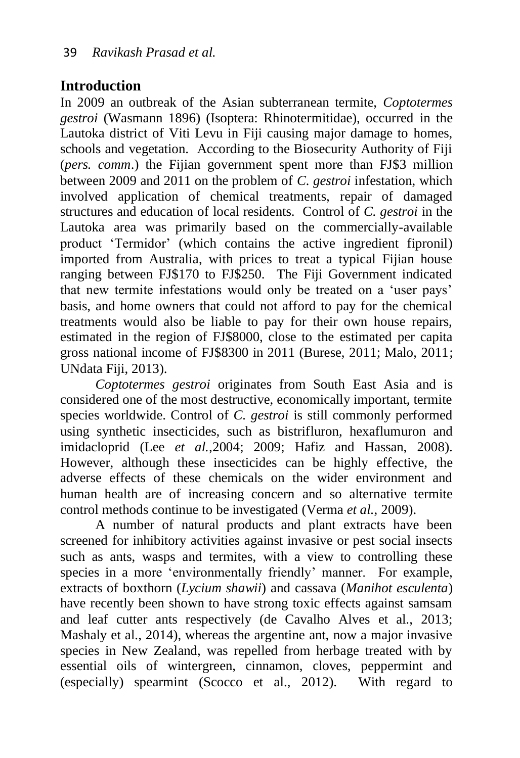# **Introduction**

In 2009 an outbreak of the Asian subterranean termite, *Coptotermes gestroi* (Wasmann 1896) (Isoptera: Rhinotermitidae), occurred in the Lautoka district of Viti Levu in Fiji causing major damage to homes, schools and vegetation. According to the Biosecurity Authority of Fiji (*pers. comm*.) the Fijian government spent more than FJ\$3 million between 2009 and 2011 on the problem of *C. gestroi* infestation, which involved application of chemical treatments, repair of damaged structures and education of local residents. Control of *C. gestroi* in the Lautoka area was primarily based on the commercially-available product 'Termidor' (which contains the active ingredient fipronil) imported from Australia, with prices to treat a typical Fijian house ranging between FJ\$170 to FJ\$250. The Fiji Government indicated that new termite infestations would only be treated on a 'user pays' basis, and home owners that could not afford to pay for the chemical treatments would also be liable to pay for their own house repairs, estimated in the region of FJ\$8000, close to the estimated per capita gross national income of FJ\$8300 in 2011 (Burese, 2011; Malo, 2011; UNdata Fiji, 2013).

*Coptotermes gestroi* originates from South East Asia and is considered one of the most destructive, economically important, termite species worldwide. Control of *C. gestroi* is still commonly performed using synthetic insecticides, such as bistrifluron, hexaflumuron and imidacloprid (Lee *et al.,*2004; 2009; Hafiz and Hassan, 2008). However, although these insecticides can be highly effective, the adverse effects of these chemicals on the wider environment and human health are of increasing concern and so alternative termite control methods continue to be investigated (Verma *et al.*, 2009).

A number of natural products and plant extracts have been screened for inhibitory activities against invasive or pest social insects such as ants, wasps and termites, with a view to controlling these species in a more 'environmentally friendly' manner. For example, extracts of boxthorn (*Lycium shawii*) and cassava (*Manihot esculenta*) have recently been shown to have strong toxic effects against samsam and leaf cutter ants respectively (de Cavalho Alves et al., 2013; Mashaly et al., 2014), whereas the argentine ant, now a major invasive species in New Zealand, was repelled from herbage treated with by essential oils of wintergreen, cinnamon, cloves, peppermint and (especially) spearmint (Scocco et al., 2012). With regard to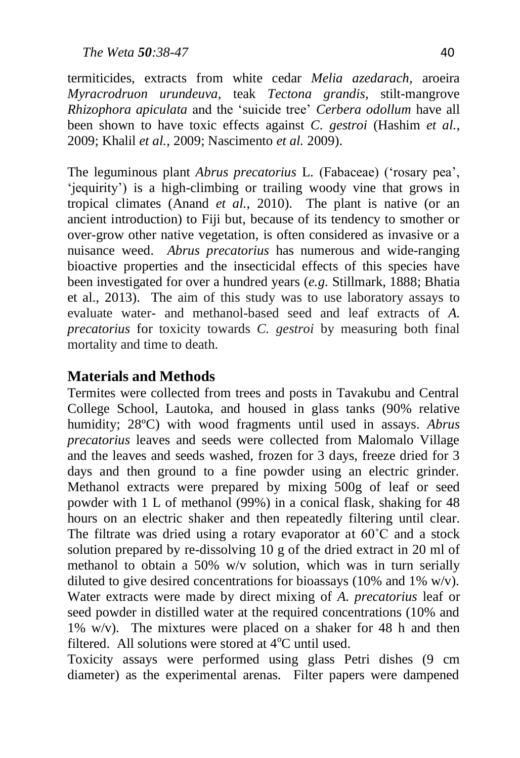termiticides, extracts from white cedar *Melia azedarach,* aroeira *Myracrodruon urundeuva,* teak *Tectona grandis*, stilt-mangrove *Rhizophora apiculata* and the 'suicide tree' *Cerbera odollum* have all been shown to have toxic effects against *C. gestroi* (Hashim *et al.*, 2009; Khalil *et al.*, 2009; Nascimento *et al.* 2009).

The leguminous plant *Abrus precatorius* L. (Fabaceae) ('rosary pea', 'jequirity') is a high-climbing or trailing woody vine that grows in tropical climates (Anand *et al.*, 2010). The plant is native (or an ancient introduction) to Fiji but, because of its tendency to smother or over-grow other native vegetation, is often considered as invasive or a nuisance weed. *Abrus precatorius* has numerous and wide-ranging bioactive properties and the insecticidal effects of this species have been investigated for over a hundred years (*e.g.* Stillmark, 1888; Bhatia et al., 2013). The aim of this study was to use laboratory assays to evaluate water- and methanol-based seed and leaf extracts of *A. precatorius* for toxicity towards *C. gestroi* by measuring both final mortality and time to death.

# **Materials and Methods**

Termites were collected from trees and posts in Tavakubu and Central College School, Lautoka, and housed in glass tanks (90% relative humidity; 28ºC) with wood fragments until used in assays. *Abrus precatorius* leaves and seeds were collected from Malomalo Village and the leaves and seeds washed, frozen for 3 days, freeze dried for 3 days and then ground to a fine powder using an electric grinder. Methanol extracts were prepared by mixing 500g of leaf or seed powder with 1 L of methanol (99%) in a conical flask, shaking for 48 hours on an electric shaker and then repeatedly filtering until clear. The filtrate was dried using a rotary evaporator at 60˚C and a stock solution prepared by re-dissolving 10 g of the dried extract in 20 ml of methanol to obtain a 50% w/v solution, which was in turn serially diluted to give desired concentrations for bioassays (10% and 1%  $w/v$ ). Water extracts were made by direct mixing of *A. precatorius* leaf or seed powder in distilled water at the required concentrations (10% and 1% w/v). The mixtures were placed on a shaker for 48 h and then filtered. All solutions were stored at  $4^{\circ}$ C until used.

Toxicity assays were performed using glass Petri dishes (9 cm diameter) as the experimental arenas. Filter papers were dampened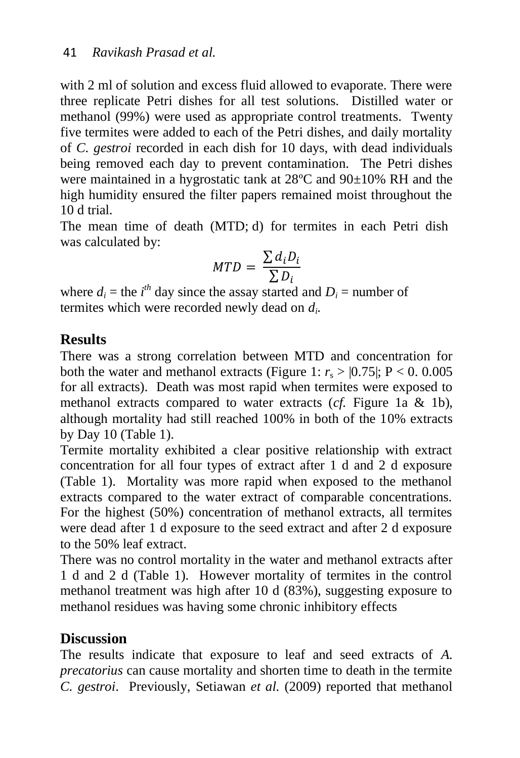with 2 ml of solution and excess fluid allowed to evaporate. There were three replicate Petri dishes for all test solutions. Distilled water or methanol (99%) were used as appropriate control treatments. Twenty five termites were added to each of the Petri dishes, and daily mortality of *C. gestroi* recorded in each dish for 10 days, with dead individuals being removed each day to prevent contamination. The Petri dishes were maintained in a hygrostatic tank at 28ºC and 90±10% RH and the high humidity ensured the filter papers remained moist throughout the 10 d trial.

The mean time of death (MTD; d) for termites in each Petri dish was calculated by:

$$
MTD = \frac{\sum d_i D_i}{\sum D_i}
$$

where  $d_i$  = the *i*<sup>th</sup> day since the assay started and  $D_i$  = number of termites which were recorded newly dead on *d<sup>i</sup> .*

## **Results**

There was a strong correlation between MTD and concentration for both the water and methanol extracts (Figure 1:  $r_s > 0.75$ ); P < 0.0005 for all extracts). Death was most rapid when termites were exposed to methanol extracts compared to water extracts (*cf.* Figure 1a & 1b), although mortality had still reached 100% in both of the 10% extracts by Day 10 (Table 1).

Termite mortality exhibited a clear positive relationship with extract concentration for all four types of extract after 1 d and 2 d exposure (Table 1). Mortality was more rapid when exposed to the methanol extracts compared to the water extract of comparable concentrations. For the highest (50%) concentration of methanol extracts, all termites were dead after 1 d exposure to the seed extract and after 2 d exposure to the 50% leaf extract.

There was no control mortality in the water and methanol extracts after 1 d and 2 d (Table 1). However mortality of termites in the control methanol treatment was high after 10 d (83%), suggesting exposure to methanol residues was having some chronic inhibitory effects

#### **Discussion**

The results indicate that exposure to leaf and seed extracts of *A. precatorius* can cause mortality and shorten time to death in the termite *C. gestroi*. Previously, Setiawan *et al.* (2009) reported that methanol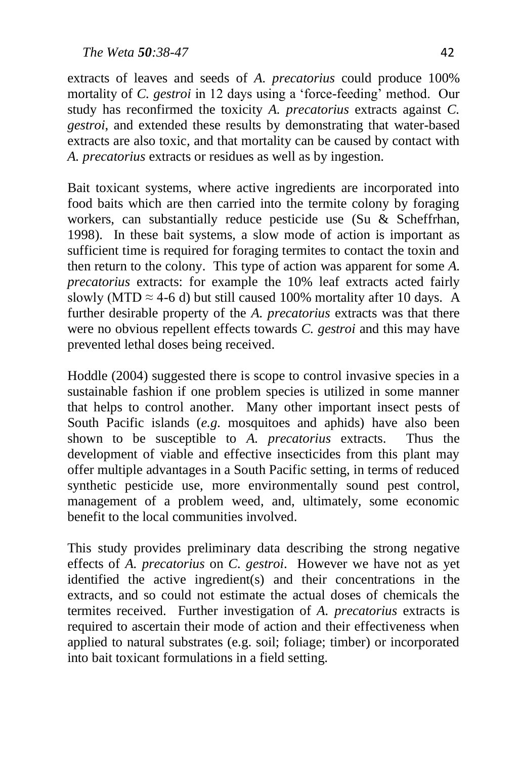extracts of leaves and seeds of *A. precatorius* could produce 100% mortality of *C. gestroi* in 12 days using a 'force-feeding' method. Our study has reconfirmed the toxicity *A. precatorius* extracts against *C. gestroi*, and extended these results by demonstrating that water-based extracts are also toxic*,* and that mortality can be caused by contact with *A. precatorius* extracts or residues as well as by ingestion.

Bait toxicant systems, where active ingredients are incorporated into food baits which are then carried into the termite colony by foraging workers, can substantially reduce pesticide use (Su & Scheffrhan, 1998). In these bait systems, a slow mode of action is important as sufficient time is required for foraging termites to contact the toxin and then return to the colony. This type of action was apparent for some *A. precatorius* extracts: for example the 10% leaf extracts acted fairly slowly (MTD  $\approx$  4-6 d) but still caused 100% mortality after 10 days. A further desirable property of the *A. precatorius* extracts was that there were no obvious repellent effects towards *C. gestroi* and this may have prevented lethal doses being received.

Hoddle (2004) suggested there is scope to control invasive species in a sustainable fashion if one problem species is utilized in some manner that helps to control another. Many other important insect pests of South Pacific islands (*e.g.* mosquitoes and aphids) have also been shown to be susceptible to *A. precatorius* extracts. Thus the development of viable and effective insecticides from this plant may offer multiple advantages in a South Pacific setting, in terms of reduced synthetic pesticide use, more environmentally sound pest control, management of a problem weed, and, ultimately, some economic benefit to the local communities involved.

This study provides preliminary data describing the strong negative effects of *A. precatorius* on *C. gestroi*. However we have not as yet identified the active ingredient(s) and their concentrations in the extracts, and so could not estimate the actual doses of chemicals the termites received. Further investigation of *A. precatorius* extracts is required to ascertain their mode of action and their effectiveness when applied to natural substrates (e.g. soil; foliage; timber) or incorporated into bait toxicant formulations in a field setting.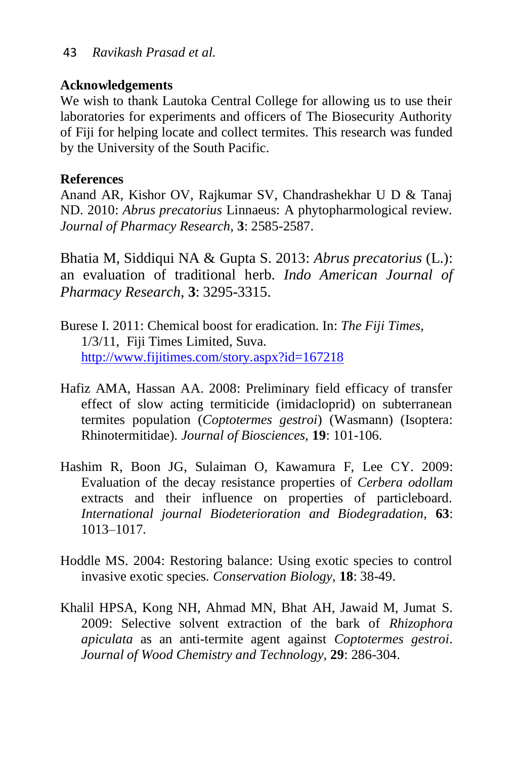#### **Acknowledgements**

We wish to thank Lautoka Central College for allowing us to use their laboratories for experiments and officers of The Biosecurity Authority of Fiji for helping locate and collect termites. This research was funded by the University of the South Pacific.

#### **References**

Anand AR, Kishor OV, Rajkumar SV, Chandrashekhar U D & Tanaj ND. 2010: *Abrus precatorius* Linnaeus: A phytopharmological review. *Journal of Pharmacy Research,* **3**: 2585-2587.

Bhatia M, Siddiqui NA & Gupta S. 2013: *Abrus precatorius* (L.): an evaluation of traditional herb. *Indo American Journal of Pharmacy Research,* **3**: 3295-3315.

- Burese I. 2011: Chemical boost for eradication. In: *The Fiji Times*, 1/3/11, Fiji Times Limited, Suva. <http://www.fijitimes.com/story.aspx?id=167218>
- Hafiz AMA, Hassan AA. 2008: Preliminary field efficacy of transfer effect of slow acting termiticide (imidacloprid) on subterranean termites population (*Coptotermes gestroi*) (Wasmann) (Isoptera: Rhinotermitidae). *Journal of Biosciences,* **19**: 101-106.
- Hashim R, Boon JG, Sulaiman O, Kawamura F, Lee CY. 2009: Evaluation of the decay resistance properties of *Cerbera odollam* extracts and their influence on properties of particleboard. *International journal Biodeterioration and Biodegradation,* **63**: 1013–1017.
- Hoddle MS. 2004: Restoring balance: Using exotic species to control invasive exotic species. *Conservation Biology,* **18**: 38-49.
- Khalil HPSA, Kong NH, Ahmad MN, Bhat AH, Jawaid M, Jumat S. 2009: Selective solvent extraction of the bark of *Rhizophora apiculata* as an anti-termite agent against *Coptotermes gestroi*. *Journal of Wood Chemistry and Technology,* **29**: 286-304.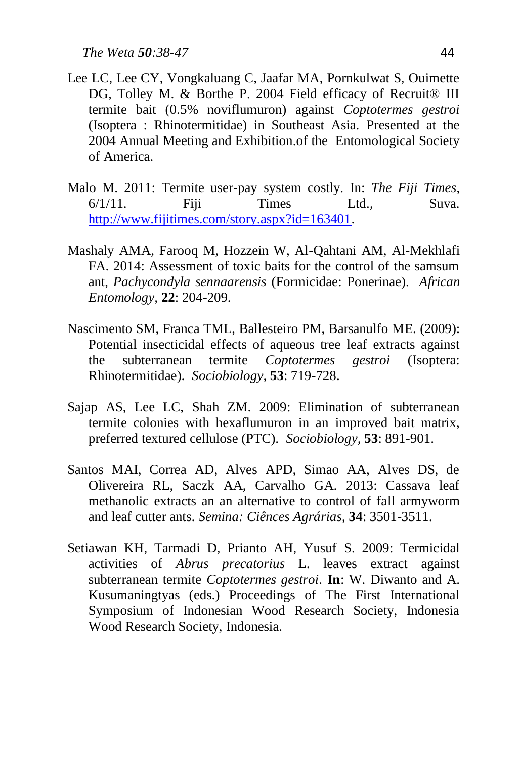- Lee LC, Lee CY, Vongkaluang C, Jaafar MA, Pornkulwat S, Ouimette DG, Tolley M. & Borthe P. 2004 Field efficacy of Recruit<sup>®</sup> III termite bait (0.5% noviflumuron) against *Coptotermes gestroi* (Isoptera : Rhinotermitidae) in Southeast Asia. Presented at the 2004 Annual Meeting and Exhibition.of the Entomological Society of America.
- Malo M. 2011: Termite user-pay system costly. In: *The Fiji Times*, 6/1/11. Fiji Times Ltd., Suva. [http://www.fijitimes.com/story.aspx?id=163401.](http://www.fijitimes.com/story.aspx?id=163401)
- Mashaly AMA, Farooq M, Hozzein W, Al-Qahtani AM, Al-Mekhlafi FA. 2014: Assessment of toxic baits for the control of the samsum ant, *Pachycondyla sennaarensis* (Formicidae: Ponerinae). *African Entomology,* **22**: 204-209.
- Nascimento SM, Franca TML, Ballesteiro PM, Barsanulfo ME. (2009): Potential insecticidal effects of aqueous tree leaf extracts against the subterranean termite *Coptotermes gestroi* (Isoptera: Rhinotermitidae). *Sociobiology,* **53**: 719-728.
- Sajap AS, Lee LC, Shah ZM. 2009: Elimination of subterranean termite colonies with hexaflumuron in an improved bait matrix, preferred textured cellulose (PTC). *Sociobiology,* **53**: 891-901.
- Santos MAI, Correa AD, Alves APD, Simao AA, Alves DS, de Olivereira RL, Saczk AA, Carvalho GA. 2013: Cassava leaf methanolic extracts an an alternative to control of fall armyworm and leaf cutter ants. *Semina: Ciênces Agrárias,* **34**: 3501-3511.
- Setiawan KH, Tarmadi D, Prianto AH, Yusuf S. 2009: Termicidal activities of *Abrus precatorius* L. leaves extract against subterranean termite *Coptotermes gestroi*. **In**: W. Diwanto and A. Kusumaningtyas (eds.) Proceedings of The First International Symposium of Indonesian Wood Research Society, Indonesia Wood Research Society, Indonesia.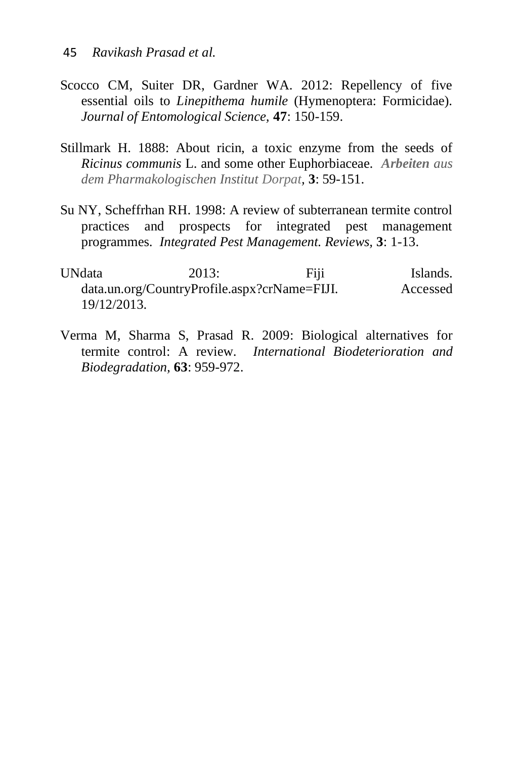- Scocco CM, Suiter DR, Gardner WA. 2012: Repellency of five essential oils to *Linepithema humile* (Hymenoptera: Formicidae). *Journal of Entomological Science,* **47**: 150-159.
- Stillmark H. 1888: About ricin, a toxic enzyme from the seeds of *Ricinus communis* L. and some other Euphorbiaceae*. Arbeiten aus dem Pharmakologischen Institut Dorpat,* **3**: 59-151.
- Su NY, Scheffrhan RH. 1998: A review of subterranean termite control practices and prospects for integrated pest management programmes. *Integrated Pest Management. Reviews,* **3**: 1-13.
- UNdata 2013: Fiji Islands. data.un.org/CountryProfile.aspx?crName=FIJI. Accessed 19/12/2013.
- Verma M, Sharma S, Prasad R. 2009: Biological alternatives for termite control: A review. *International Biodeterioration and Biodegradation,* **63**: 959-972.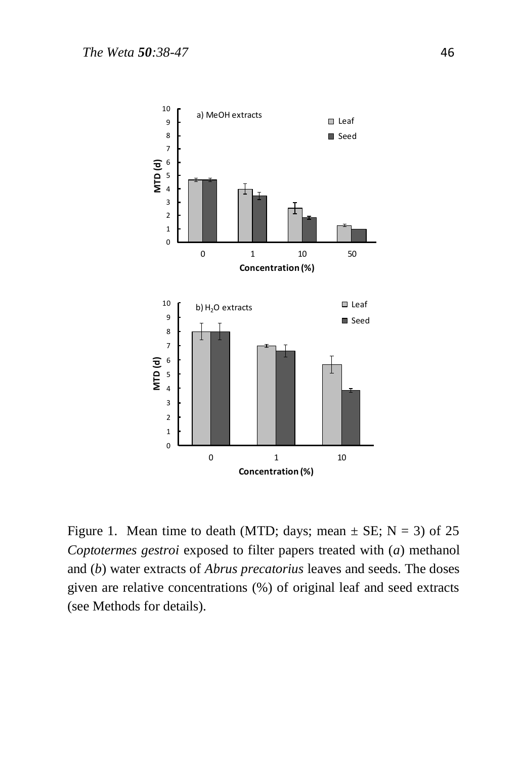

Figure 1. Mean time to death (MTD; days; mean  $\pm$  SE; N = 3) of 25 *Coptotermes gestroi* exposed to filter papers treated with (*a*) methanol and (*b*) water extracts of *Abrus precatorius* leaves and seeds. The doses given are relative concentrations (%) of original leaf and seed extracts (see Methods for details).